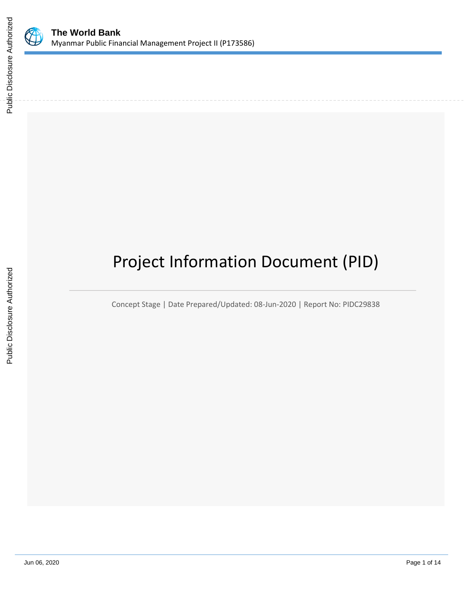

# Project Information Document (PID)

Concept Stage | Date Prepared/Updated: 08-Jun-2020 | Report No: PIDC29838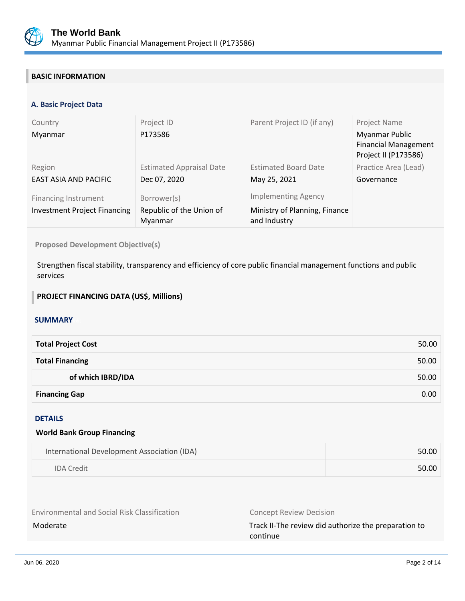

## **BASIC INFORMATION**

## **A. Basic Project Data**

| Country<br>Myanmar                                                 | Project ID<br>P173586                              | Parent Project ID (if any)                                                  | Project Name<br><b>Myanmar Public</b><br><b>Financial Management</b><br>Project II (P173586) |
|--------------------------------------------------------------------|----------------------------------------------------|-----------------------------------------------------------------------------|----------------------------------------------------------------------------------------------|
| Region<br>EAST ASIA AND PACIFIC                                    | <b>Estimated Appraisal Date</b><br>Dec 07, 2020    | <b>Estimated Board Date</b><br>May 25, 2021                                 | Practice Area (Lead)<br>Governance                                                           |
| <b>Financing Instrument</b><br><b>Investment Project Financing</b> | Borrower(s)<br>Republic of the Union of<br>Myanmar | <b>Implementing Agency</b><br>Ministry of Planning, Finance<br>and Industry |                                                                                              |

#### **Proposed Development Objective(s)**

Strengthen fiscal stability, transparency and efficiency of core public financial management functions and public services

## **PROJECT FINANCING DATA (US\$, Millions)**

#### **SUMMARY**

| <b>Total Project Cost</b> | 50.00 |
|---------------------------|-------|
| <b>Total Financing</b>    | 50.00 |
| of which IBRD/IDA         | 50.00 |
| <b>Financing Gap</b>      | 0.00  |

#### DETAILS

#### **World Bank Group Financing**

| International Development Association (IDA) | 50.00 |
|---------------------------------------------|-------|
| <b>IDA</b> Credit                           | 50.00 |

| <b>Environmental and Social Risk Classification</b> | <b>Concept Review Decision</b>                       |  |
|-----------------------------------------------------|------------------------------------------------------|--|
| Moderate                                            | Track II-The review did authorize the preparation to |  |
|                                                     | continue                                             |  |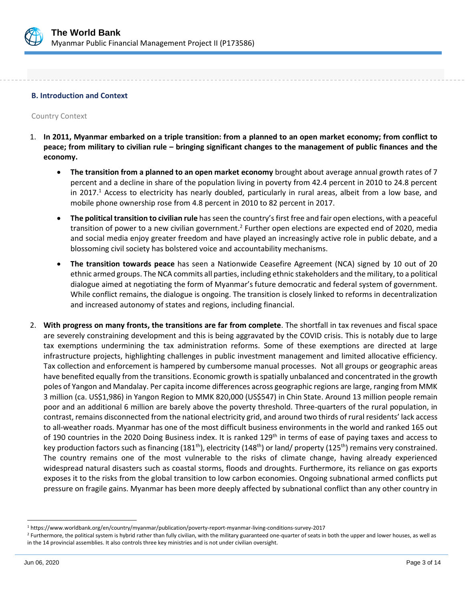

#### **B. Introduction and Context**

Country Context

- 1. **In 2011, Myanmar embarked on a triple transition: from a planned to an open market economy; from conflict to peace; from military to civilian rule – bringing significant changes to the management of public finances and the economy.** 
	- **The transition from a planned to an open market economy** brought about average annual growth rates of 7 percent and a decline in share of the population living in poverty from 42.4 percent in 2010 to 24.8 percent in 2017.<sup>1</sup> Access to electricity has nearly doubled, particularly in rural areas, albeit from a low base, and mobile phone ownership rose from 4.8 percent in 2010 to 82 percent in 2017.
	- **The political transition to civilian rule** has seen the country's first free and fair open elections, with a peaceful transition of power to a new civilian government.<sup>2</sup> Further open elections are expected end of 2020, media and social media enjoy greater freedom and have played an increasingly active role in public debate, and a blossoming civil society has bolstered voice and accountability mechanisms.
	- **The transition towards peace** has seen a Nationwide Ceasefire Agreement (NCA) signed by 10 out of 20 ethnic armed groups. The NCA commits all parties, including ethnic stakeholders and the military, to a political dialogue aimed at negotiating the form of Myanmar's future democratic and federal system of government. While conflict remains, the dialogue is ongoing. The transition is closely linked to reforms in decentralization and increased autonomy of states and regions, including financial.
- 2. **With progress on many fronts, the transitions are far from complete**. The shortfall in tax revenues and fiscal space are severely constraining development and this is being aggravated by the COVID crisis. This is notably due to large tax exemptions undermining the tax administration reforms. Some of these exemptions are directed at large infrastructure projects, highlighting challenges in public investment management and limited allocative efficiency. Tax collection and enforcement is hampered by cumbersome manual processes. Not all groups or geographic areas have benefited equally from the transitions. Economic growth is spatially unbalanced and concentrated in the growth poles of Yangon and Mandalay. Per capita income differences across geographic regions are large, ranging from MMK 3 million (ca. US\$1,986) in Yangon Region to MMK 820,000 (US\$547) in Chin State. Around 13 million people remain poor and an additional 6 million are barely above the poverty threshold. Three-quarters of the rural population, in contrast, remains disconnected from the national electricity grid, and around two thirds of rural residents' lack access to all-weather roads. Myanmar has one of the most difficult business environments in the world and ranked 165 out of 190 countries in the 2020 Doing Business index. It is ranked 129<sup>th</sup> in terms of ease of paying taxes and access to key production factors such as financing (181<sup>th</sup>), electricity (148<sup>th</sup>) or land/ property (125<sup>th</sup>) remains very constrained. The country remains one of the most vulnerable to the risks of climate change, having already experienced widespread natural disasters such as coastal storms, floods and droughts. Furthermore, its reliance on gas exports exposes it to the risks from the global transition to low carbon economies. Ongoing subnational armed conflicts put pressure on fragile gains. Myanmar has been more deeply affected by subnational conflict than any other country in

<sup>1</sup> https://www.worldbank.org/en/country/myanmar/publication/poverty-report-myanmar-living-conditions-survey-2017

<sup>&</sup>lt;sup>2</sup> Furthermore, the political system is hybrid rather than fully civilian, with the military guaranteed one-quarter of seats in both the upper and lower houses, as well as in the 14 provincial assemblies. It also controls three key ministries and is not under civilian oversight.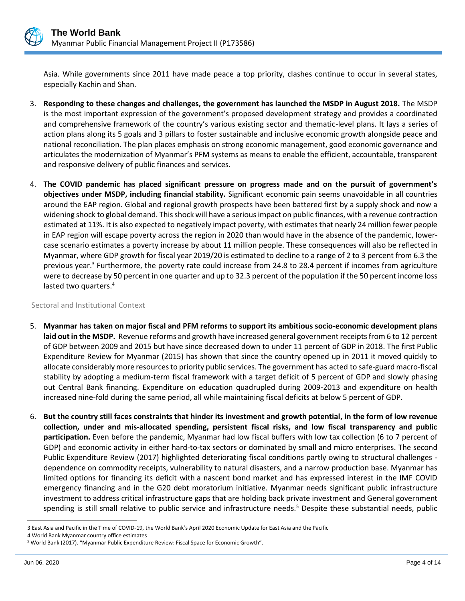

Asia. While governments since 2011 have made peace a top priority, clashes continue to occur in several states, especially Kachin and Shan.

- 3. **Responding to these changes and challenges, the government has launched the MSDP in August 2018.** The MSDP is the most important expression of the government's proposed development strategy and provides a coordinated and comprehensive framework of the country's various existing sector and thematic-level plans. It lays a series of action plans along its 5 goals and 3 pillars to foster sustainable and inclusive economic growth alongside peace and national reconciliation. The plan places emphasis on strong economic management, good economic governance and articulates the modernization of Myanmar's PFM systems as means to enable the efficient, accountable, transparent and responsive delivery of public finances and services.
- 4. **The COVID pandemic has placed significant pressure on progress made and on the pursuit of government's objectives under MSDP, including financial stability.** Significant economic pain seems unavoidable in all countries around the EAP region. Global and regional growth prospects have been battered first by a supply shock and now a widening shock to global demand. This shock will have a serious impact on public finances, with a revenue contraction estimated at 11%. It is also expected to negatively impact poverty, with estimates that nearly 24 million fewer people in EAP region will escape poverty across the region in 2020 than would have in the absence of the pandemic, lowercase scenario estimates a poverty increase by about 11 million people. These consequences will also be reflected in Myanmar, where GDP growth for fiscal year 2019/20 is estimated to decline to a range of 2 to 3 percent from 6.3 the previous year.<sup>3</sup> Furthermore, the poverty rate could increase from 24.8 to 28.4 percent if incomes from agriculture were to decrease by 50 percent in one quarter and up to 32.3 percent of the population if the 50 percent income loss lasted two quarters. $4$

Sectoral and Institutional Context

- 5. **Myanmar has taken on major fiscal and PFM reforms to support its ambitious socio-economic development plans laid out in the MSDP.** Revenue reforms and growth have increased general government receipts from 6 to 12 percent of GDP between 2009 and 2015 but have since decreased down to under 11 percent of GDP in 2018. The first Public Expenditure Review for Myanmar (2015) has shown that since the country opened up in 2011 it moved quickly to allocate considerably more resources to priority public services. The government has acted to safe-guard macro-fiscal stability by adopting a medium-term fiscal framework with a target deficit of 5 percent of GDP and slowly phasing out Central Bank financing. Expenditure on education quadrupled during 2009-2013 and expenditure on health increased nine-fold during the same period, all while maintaining fiscal deficits at below 5 percent of GDP.
- 6. **But the country still faces constraints that hinder its investment and growth potential, in the form of low revenue collection, under and mis-allocated spending, persistent fiscal risks, and low fiscal transparency and public participation.** Even before the pandemic, Myanmar had low fiscal buffers with low tax collection (6 to 7 percent of GDP) and economic activity in either hard-to-tax sectors or dominated by small and micro enterprises. The second Public Expenditure Review (2017) highlighted deteriorating fiscal conditions partly owing to structural challenges dependence on commodity receipts, vulnerability to natural disasters, and a narrow production base. Myanmar has limited options for financing its deficit with a nascent bond market and has expressed interest in the IMF COVID emergency financing and in the G20 debt moratorium initiative. Myanmar needs significant public infrastructure investment to address critical infrastructure gaps that are holding back private investment and General government spending is still small relative to public service and infrastructure needs.<sup>5</sup> Despite these substantial needs, public

<sup>3</sup> East Asia and Pacific in the Time of COVID-19, the World Bank's April 2020 Economic Update for East Asia and the Pacific

<sup>4</sup> World Bank Myanmar country office estimates

<sup>5</sup> World Bank (2017). "Myanmar Public Expenditure Review: Fiscal Space for Economic Growth".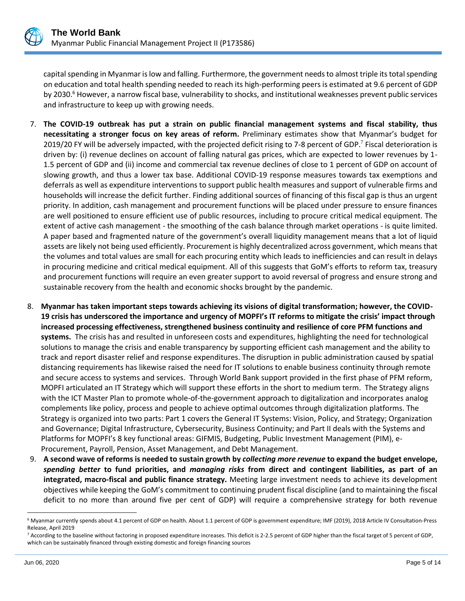

capital spending in Myanmar is low and falling. Furthermore, the government needs to almost triple its total spending on education and total health spending needed to reach its high-performing peers is estimated at 9.6 percent of GDP by 2030.<sup>6</sup> However, a narrow fiscal base, vulnerability to shocks, and institutional weaknesses prevent public services and infrastructure to keep up with growing needs.

- 7. **The COVID-19 outbreak has put a strain on public financial management systems and fiscal stability, thus necessitating a stronger focus on key areas of reform.** Preliminary estimates show that Myanmar's budget for 2019/20 FY will be adversely impacted, with the projected deficit rising to 7-8 percent of GDP.<sup>7</sup> Fiscal deterioration is driven by: (i) revenue declines on account of falling natural gas prices, which are expected to lower revenues by 1- 1.5 percent of GDP and (ii) income and commercial tax revenue declines of close to 1 percent of GDP on account of slowing growth, and thus a lower tax base. Additional COVID-19 response measures towards tax exemptions and deferrals as well as expenditure interventions to support public health measures and support of vulnerable firms and households will increase the deficit further. Finding additional sources of financing of this fiscal gap is thus an urgent priority. In addition, cash management and procurement functions will be placed under pressure to ensure finances are well positioned to ensure efficient use of public resources, including to procure critical medical equipment. The extent of active cash management - the smoothing of the cash balance through market operations - is quite limited. A paper based and fragmented nature of the government's overall liquidity management means that a lot of liquid assets are likely not being used efficiently. Procurement is highly decentralized across government, which means that the volumes and total values are small for each procuring entity which leads to inefficiencies and can result in delays in procuring medicine and critical medical equipment. All of this suggests that GoM's efforts to reform tax, treasury and procurement functions will require an even greater support to avoid reversal of progress and ensure strong and sustainable recovery from the health and economic shocks brought by the pandemic.
- 8. **Myanmar has taken important steps towards achieving its visions of digital transformation; however, the COVID-19 crisis has underscored the importance and urgency of MOPFI's IT reforms to mitigate the crisis' impact through increased processing effectiveness, strengthened business continuity and resilience of core PFM functions and systems.** The crisis has and resulted in unforeseen costs and expenditures, highlighting the need for technological solutions to manage the crisis and enable transparency by supporting efficient cash management and the ability to track and report disaster relief and response expenditures. The disruption in public administration caused by spatial distancing requirements has likewise raised the need for IT solutions to enable business continuity through remote and secure access to systems and services. Through World Bank support provided in the first phase of PFM reform, MOPFI articulated an IT Strategy which will support these efforts in the short to medium term. The Strategy aligns with the ICT Master Plan to promote whole-of-the-government approach to digitalization and incorporates analog complements like policy, process and people to achieve optimal outcomes through digitalization platforms. The Strategy is organized into two parts: Part 1 covers the General IT Systems: Vision, Policy, and Strategy; Organization and Governance; Digital Infrastructure, Cybersecurity, Business Continuity; and Part II deals with the Systems and Platforms for MOPFI's 8 key functional areas: GIFMIS, Budgeting, Public Investment Management (PIM), e-Procurement, Payroll, Pension, Asset Management, and Debt Management.
- 9. **A second wave of reforms is needed to sustain growth by** *collecting more revenue* **to expand the budget envelope,**  *spending better* **to fund priorities, and** *managing risks* **from direct and contingent liabilities, as part of an integrated, macro-fiscal and public finance strategy.** Meeting large investment needs to achieve its development objectives while keeping the GoM's commitment to continuing prudent fiscal discipline (and to maintaining the fiscal deficit to no more than around five per cent of GDP) will require a comprehensive strategy for both revenue

<sup>6</sup> Myanmar currently spends about 4.1 percent of GDP on health. About 1.1 percent of GDP is government expenditure; IMF (2019), 2018 Article IV Consultation-Press Release, April 2019

<sup>7</sup> According to the baseline without factoring in proposed expenditure increases. This deficit is 2-2.5 percent of GDP higher than the fiscal target of 5 percent of GDP, which can be sustainably financed through existing domestic and foreign financing sources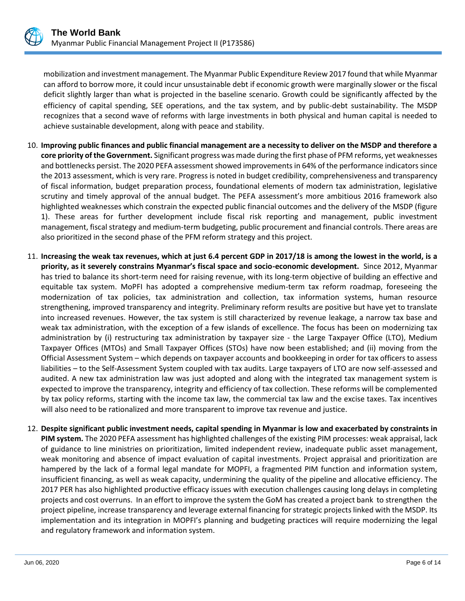

mobilization and investment management. The Myanmar Public Expenditure Review 2017 found that while Myanmar can afford to borrow more, it could incur unsustainable debt if economic growth were marginally slower or the fiscal deficit slightly larger than what is projected in the baseline scenario. Growth could be significantly affected by the efficiency of capital spending, SEE operations, and the tax system, and by public-debt sustainability. The MSDP recognizes that a second wave of reforms with large investments in both physical and human capital is needed to achieve sustainable development, along with peace and stability.

- 10. **Improving public finances and public financial management are a necessity to deliver on the MSDP and therefore a core priority of the Government.** Significant progress was made during the first phase of PFM reforms, yet weaknesses and bottlenecks persist. The 2020 PEFA assessment showed improvements in 64% of the performance indicators since the 2013 assessment, which is very rare. Progress is noted in budget credibility, comprehensiveness and transparency of fiscal information, budget preparation process, foundational elements of modern tax administration, legislative scrutiny and timely approval of the annual budget. The PEFA assessment's more ambitious 2016 framework also highlighted weaknesses which constrain the expected public financial outcomes and the delivery of the MSDP (figure 1). These areas for further development include fiscal risk reporting and management, public investment management, fiscal strategy and medium-term budgeting, public procurement and financial controls. There areas are also prioritized in the second phase of the PFM reform strategy and this project.
- 11. **Increasing the weak tax revenues, which at just 6.4 percent GDP in 2017/18 is among the lowest in the world, is a priority, as it severely constrains Myanmar's fiscal space and socio-economic development.** Since 2012, Myanmar has tried to balance its short-term need for raising revenue, with its long-term objective of building an effective and equitable tax system. MoPFI has adopted a comprehensive medium-term tax reform roadmap, foreseeing the modernization of tax policies, tax administration and collection, tax information systems, human resource strengthening, improved transparency and integrity. Preliminary reform results are positive but have yet to translate into increased revenues. However, the tax system is still characterized by revenue leakage, a narrow tax base and weak tax administration, with the exception of a few islands of excellence. The focus has been on modernizing tax administration by (i) restructuring tax administration by taxpayer size - the Large Taxpayer Office (LTO), Medium Taxpayer Offices (MTOs) and Small Taxpayer Offices (STOs) have now been established; and (ii) moving from the Official Assessment System – which depends on taxpayer accounts and bookkeeping in order for tax officers to assess liabilities – to the Self-Assessment System coupled with tax audits. Large taxpayers of LTO are now self-assessed and audited. A new tax administration law was just adopted and along with the integrated tax management system is expected to improve the transparency, integrity and efficiency of tax collection. These reforms will be complemented by tax policy reforms, starting with the income tax law, the commercial tax law and the excise taxes. Tax incentives will also need to be rationalized and more transparent to improve tax revenue and justice.
- 12. **Despite significant public investment needs, capital spending in Myanmar is low and exacerbated by constraints in PIM system.** The 2020 PEFA assessment has highlighted challenges of the existing PIM processes: weak appraisal, lack of guidance to line ministries on prioritization, limited independent review, inadequate public asset management, weak monitoring and absence of impact evaluation of capital investments. Project appraisal and prioritization are hampered by the lack of a formal legal mandate for MOPFI, a fragmented PIM function and information system, insufficient financing, as well as weak capacity, undermining the quality of the pipeline and allocative efficiency. The 2017 PER has also highlighted productive efficacy issues with execution challenges causing long delays in completing projects and cost overruns. In an effort to improve the system the GoM has created a project bank to strengthen the project pipeline, increase transparency and leverage external financing for strategic projects linked with the MSDP. Its implementation and its integration in MOPFI's planning and budgeting practices will require modernizing the legal and regulatory framework and information system.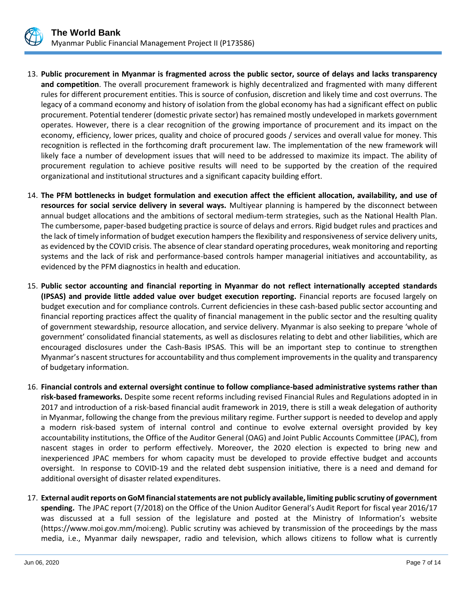

- 13. **Public procurement in Myanmar is fragmented across the public sector, source of delays and lacks transparency and competition**. The overall procurement framework is highly decentralized and fragmented with many different rules for different procurement entities. This is source of confusion, discretion and likely time and cost overruns. The legacy of a command economy and history of isolation from the global economy has had a significant effect on public procurement. Potential tenderer (domestic private sector) has remained mostly undeveloped in markets government operates. However, there is a clear recognition of the growing importance of procurement and its impact on the economy, efficiency, lower prices, quality and choice of procured goods / services and overall value for money. This recognition is reflected in the forthcoming draft procurement law. The implementation of the new framework will likely face a number of development issues that will need to be addressed to maximize its impact. The ability of procurement regulation to achieve positive results will need to be supported by the creation of the required organizational and institutional structures and a significant capacity building effort.
- 14. **The PFM bottlenecks in budget formulation and execution affect the efficient allocation, availability, and use of resources for social service delivery in several ways.** Multiyear planning is hampered by the disconnect between annual budget allocations and the ambitions of sectoral medium-term strategies, such as the National Health Plan. The cumbersome, paper-based budgeting practice is source of delays and errors. Rigid budget rules and practices and the lack of timely information of budget execution hampers the flexibility and responsiveness of service delivery units, as evidenced by the COVID crisis. The absence of clear standard operating procedures, weak monitoring and reporting systems and the lack of risk and performance-based controls hamper managerial initiatives and accountability, as evidenced by the PFM diagnostics in health and education.
- 15. **Public sector accounting and financial reporting in Myanmar do not reflect internationally accepted standards (IPSAS) and provide little added value over budget execution reporting.** Financial reports are focused largely on budget execution and for compliance controls. Current deficiencies in these cash-based public sector accounting and financial reporting practices affect the quality of financial management in the public sector and the resulting quality of government stewardship, resource allocation, and service delivery. Myanmar is also seeking to prepare 'whole of government' consolidated financial statements, as well as disclosures relating to debt and other liabilities, which are encouraged disclosures under the Cash-Basis IPSAS. This will be an important step to continue to strengthen Myanmar's nascent structures for accountability and thus complement improvements in the quality and transparency of budgetary information.
- 16. **Financial controls and external oversight continue to follow compliance-based administrative systems rather than risk-based frameworks.** Despite some recent reforms including revised Financial Rules and Regulations adopted in in 2017 and introduction of a risk-based financial audit framework in 2019, there is still a weak delegation of authority in Myanmar, following the change from the previous military regime. Further support is needed to develop and apply a modern risk-based system of internal control and continue to evolve external oversight provided by key accountability institutions, the Office of the Auditor General (OAG) and Joint Public Accounts Committee (JPAC), from nascent stages in order to perform effectively. Moreover, the 2020 election is expected to bring new and inexperienced JPAC members for whom capacity must be developed to provide effective budget and accounts oversight. In response to COVID-19 and the related debt suspension initiative, there is a need and demand for additional oversight of disaster related expenditures.
- 17. **External audit reports on GoM financial statements are not publicly available, limiting public scrutiny of government spending.** The JPAC report (7/2018) on the Office of the Union Auditor General's Audit Report for fiscal year 2016/17 was discussed at a full session of the legislature and posted at the Ministry of Information's website (https://www.moi.gov.mm/moi:eng). Public scrutiny was achieved by transmission of the proceedings by the mass media, i.e., Myanmar daily newspaper, radio and television, which allows citizens to follow what is currently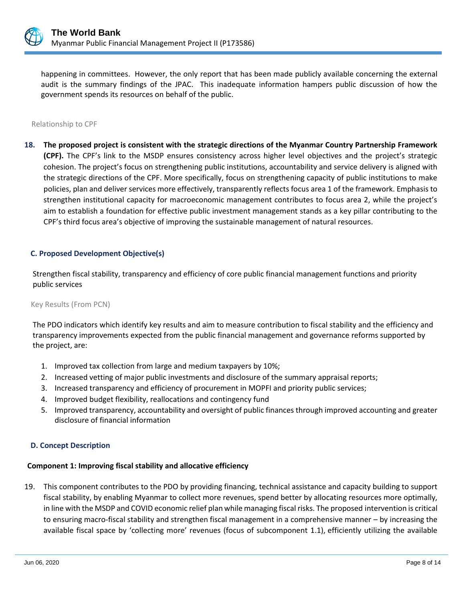

happening in committees. However, the only report that has been made publicly available concerning the external audit is the summary findings of the JPAC. This inadequate information hampers public discussion of how the government spends its resources on behalf of the public.

#### Relationship to CPF

**18. The proposed project is consistent with the strategic directions of the Myanmar Country Partnership Framework (CPF).** The CPF's link to the MSDP ensures consistency across higher level objectives and the project's strategic cohesion. The project's focus on strengthening public institutions, accountability and service delivery is aligned with the strategic directions of the CPF. More specifically, focus on strengthening capacity of public institutions to make policies, plan and deliver services more effectively, transparently reflects focus area 1 of the framework. Emphasis to strengthen institutional capacity for macroeconomic management contributes to focus area 2, while the project's aim to establish a foundation for effective public investment management stands as a key pillar contributing to the CPF's third focus area's objective of improving the sustainable management of natural resources.

#### **C. Proposed Development Objective(s)**

Strengthen fiscal stability, transparency and efficiency of core public financial management functions and priority public services

#### Key Results (From PCN)

The PDO indicators which identify key results and aim to measure contribution to fiscal stability and the efficiency and transparency improvements expected from the public financial management and governance reforms supported by the project, are:

- 1. Improved tax collection from large and medium taxpayers by 10%;
- 2. Increased vetting of major public investments and disclosure of the summary appraisal reports;
- 3. Increased transparency and efficiency of procurement in MOPFI and priority public services;
- 4. Improved budget flexibility, reallocations and contingency fund
- 5. Improved transparency, accountability and oversight of public finances through improved accounting and greater disclosure of financial information

#### **D. Concept Description**

## **Component 1: Improving fiscal stability and allocative efficiency**

19. This component contributes to the PDO by providing financing, technical assistance and capacity building to support fiscal stability, by enabling Myanmar to collect more revenues, spend better by allocating resources more optimally, in line with the MSDP and COVID economic relief plan while managing fiscal risks. The proposed intervention is critical to ensuring macro-fiscal stability and strengthen fiscal management in a comprehensive manner – by increasing the available fiscal space by 'collecting more' revenues (focus of subcomponent 1.1), efficiently utilizing the available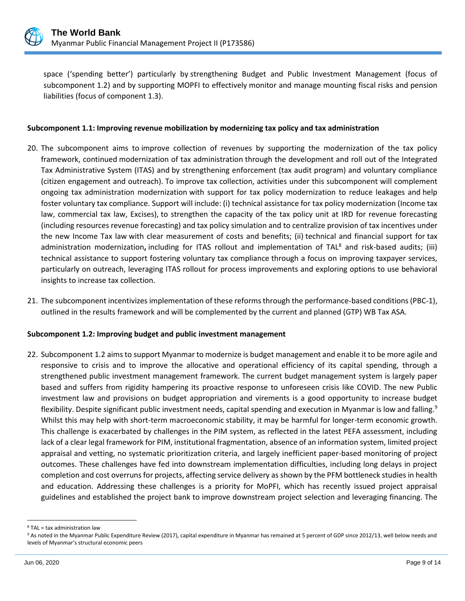

space ('spending better') particularly by strengthening Budget and Public Investment Management (focus of subcomponent 1.2) and by supporting MOPFI to effectively monitor and manage mounting fiscal risks and pension liabilities (focus of component 1.3).

## **Subcomponent 1.1: Improving revenue mobilization by modernizing tax policy and tax administration**

- 20. The subcomponent aims to improve collection of revenues by supporting the modernization of the tax policy framework, continued modernization of tax administration through the development and roll out of the Integrated Tax Administrative System (ITAS) and by strengthening enforcement (tax audit program) and voluntary compliance (citizen engagement and outreach). To improve tax collection, activities under this subcomponent will complement ongoing tax administration modernization with support for tax policy modernization to reduce leakages and help foster voluntary tax compliance. Support will include: (i) technical assistance for tax policy modernization (Income tax law, commercial tax law, Excises), to strengthen the capacity of the tax policy unit at IRD for revenue forecasting (including resources revenue forecasting) and tax policy simulation and to centralize provision of tax incentives under the new Income Tax law with clear measurement of costs and benefits; (ii) technical and financial support for tax administration modernization, including for ITAS rollout and implementation of TAL<sup>8</sup> and risk-based audits; (iii) technical assistance to support fostering voluntary tax compliance through a focus on improving taxpayer services, particularly on outreach, leveraging ITAS rollout for process improvements and exploring options to use behavioral insights to increase tax collection.
- 21. The subcomponent incentivizes implementation of these reforms through the performance-based conditions (PBC-1), outlined in the results framework and will be complemented by the current and planned (GTP) WB Tax ASA.

## **Subcomponent 1.2: Improving budget and public investment management**

22. Subcomponent 1.2 aims to support Myanmar to modernize is budget management and enable it to be more agile and responsive to crisis and to improve the allocative and operational efficiency of its capital spending, through a strengthened public investment management framework. The current budget management system is largely paper based and suffers from rigidity hampering its proactive response to unforeseen crisis like COVID. The new Public investment law and provisions on budget appropriation and virements is a good opportunity to increase budget flexibility. Despite significant public investment needs, capital spending and execution in Myanmar is low and falling.<sup>9</sup> Whilst this may help with short-term macroeconomic stability, it may be harmful for longer-term economic growth. This challenge is exacerbated by challenges in the PIM system, as reflected in the latest PEFA assessment, including lack of a clear legal framework for PIM, institutional fragmentation, absence of an information system, limited project appraisal and vetting, no systematic prioritization criteria, and largely inefficient paper-based monitoring of project outcomes. These challenges have fed into downstream implementation difficulties, including long delays in project completion and cost overruns for projects, affecting service delivery as shown by the PFM bottleneck studies in health and education. Addressing these challenges is a priority for MoPFI, which has recently issued project appraisal guidelines and established the project bank to improve downstream project selection and leveraging financing. The

<sup>8</sup> TAL = tax administration law

<sup>&</sup>lt;sup>9</sup> As noted in the Myanmar Public Expenditure Review (2017), capital expenditure in Myanmar has remained at 5 percent of GDP since 2012/13, well below needs and levels of Myanmar's structural economic peers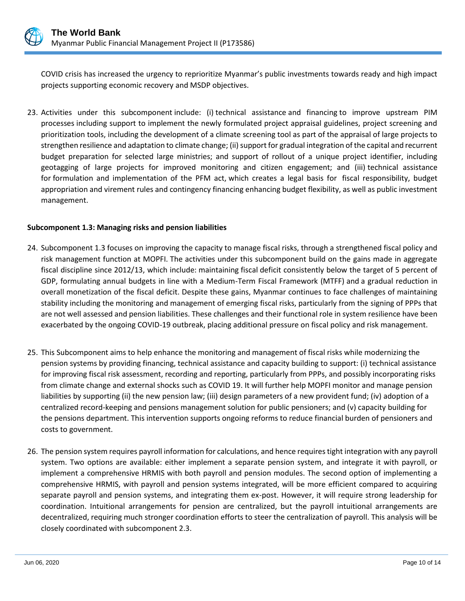

COVID crisis has increased the urgency to reprioritize Myanmar's public investments towards ready and high impact projects supporting economic recovery and MSDP objectives.

23. Activities under this subcomponent include: (i) technical assistance and financing to improve upstream PIM processes including support to implement the newly formulated project appraisal guidelines, project screening and prioritization tools, including the development of a climate screening tool as part of the appraisal of large projects to strengthen resilience and adaptation to climate change; (ii) support for gradual integration of the capital and recurrent budget preparation for selected large ministries; and support of rollout of a unique project identifier, including geotagging of large projects for improved monitoring and citizen engagement; and (iii) technical assistance for formulation and implementation of the PFM act, which creates a legal basis for fiscal responsibility, budget appropriation and virement rules and contingency financing enhancing budget flexibility, as well as public investment management.

## **Subcomponent 1.3: Managing risks and pension liabilities**

- 24. Subcomponent 1.3 focuses on improving the capacity to manage fiscal risks, through a strengthened fiscal policy and risk management function at MOPFI. The activities under this subcomponent build on the gains made in aggregate fiscal discipline since 2012/13, which include: maintaining fiscal deficit consistently below the target of 5 percent of GDP, formulating annual budgets in line with a Medium-Term Fiscal Framework (MTFF) and a gradual reduction in overall monetization of the fiscal deficit. Despite these gains, Myanmar continues to face challenges of maintaining stability including the monitoring and management of emerging fiscal risks, particularly from the signing of PPPs that are not well assessed and pension liabilities. These challenges and their functional role in system resilience have been exacerbated by the ongoing COVID-19 outbreak, placing additional pressure on fiscal policy and risk management.
- 25. This Subcomponent aims to help enhance the monitoring and management of fiscal risks while modernizing the pension systems by providing financing, technical assistance and capacity building to support: (i) technical assistance for improving fiscal risk assessment, recording and reporting, particularly from PPPs, and possibly incorporating risks from climate change and external shocks such as COVID 19. It will further help MOPFI monitor and manage pension liabilities by supporting (ii) the new pension law; (iii) design parameters of a new provident fund; (iv) adoption of a centralized record-keeping and pensions management solution for public pensioners; and (v) capacity building for the pensions department. This intervention supports ongoing reforms to reduce financial burden of pensioners and costs to government.
- 26. The pension system requires payroll information for calculations, and hence requires tight integration with any payroll system. Two options are available: either implement a separate pension system, and integrate it with payroll, or implement a comprehensive HRMIS with both payroll and pension modules. The second option of implementing a comprehensive HRMIS, with payroll and pension systems integrated, will be more efficient compared to acquiring separate payroll and pension systems, and integrating them ex-post. However, it will require strong leadership for coordination. Intuitional arrangements for pension are centralized, but the payroll intuitional arrangements are decentralized, requiring much stronger coordination efforts to steer the centralization of payroll. This analysis will be closely coordinated with subcomponent 2.3.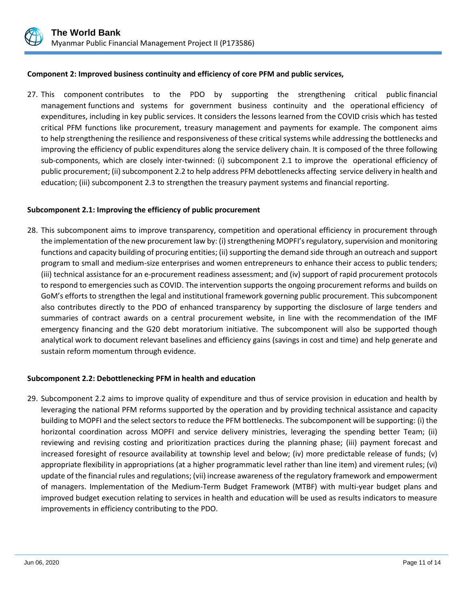

## **Component 2: Improved business continuity and efficiency of core PFM and public services,**

27. This component contributes to the PDO by supporting the strengthening critical public financial management functions and systems for government business continuity and the operational efficiency of expenditures, including in key public services. It considers the lessons learned from the COVID crisis which has tested critical PFM functions like procurement, treasury management and payments for example. The component aims to help strengthening the resilience and responsiveness of these critical systems while addressing the bottlenecks and improving the efficiency of public expenditures along the service delivery chain. It is composed of the three following sub-components, which are closely inter-twinned: (i) subcomponent 2.1 to improve the operational efficiency of public procurement; (ii) subcomponent 2.2 to help address PFM debottlenecks affecting service delivery in health and education; (iii) subcomponent 2.3 to strengthen the treasury payment systems and financial reporting.

## **Subcomponent 2.1: Improving the efficiency of public procurement**

28. This subcomponent aims to improve transparency, competition and operational efficiency in procurement through the implementation of the new procurement law by: (i) strengthening MOPFI's regulatory, supervision and monitoring functions and capacity building of procuring entities; (ii) supporting the demand side through an outreach and support program to small and medium-size enterprises and women entrepreneurs to enhance their access to public tenders; (iii) technical assistance for an e-procurement readiness assessment; and (iv) support of rapid procurement protocols to respond to emergencies such as COVID. The intervention supports the ongoing procurement reforms and builds on GoM's efforts to strengthen the legal and institutional framework governing public procurement. This subcomponent also contributes directly to the PDO of enhanced transparency by supporting the disclosure of large tenders and summaries of contract awards on a central procurement website, in line with the recommendation of the IMF emergency financing and the G20 debt moratorium initiative. The subcomponent will also be supported though analytical work to document relevant baselines and efficiency gains (savings in cost and time) and help generate and sustain reform momentum through evidence.

## **Subcomponent 2.2: Debottlenecking PFM in health and education**

29. Subcomponent 2.2 aims to improve quality of expenditure and thus of service provision in education and health by leveraging the national PFM reforms supported by the operation and by providing technical assistance and capacity building to MOPFI and the select sectors to reduce the PFM bottlenecks. The subcomponent will be supporting: (i) the horizontal coordination across MOPFI and service delivery ministries, leveraging the spending better Team; (ii) reviewing and revising costing and prioritization practices during the planning phase; (iii) payment forecast and increased foresight of resource availability at township level and below; (iv) more predictable release of funds; (v) appropriate flexibility in appropriations (at a higher programmatic level rather than line item) and virement rules; (vi) update of the financial rules and regulations; (vii) increase awareness of the regulatory framework and empowerment of managers. Implementation of the Medium-Term Budget Framework (MTBF) with multi-year budget plans and improved budget execution relating to services in health and education will be used as results indicators to measure improvements in efficiency contributing to the PDO.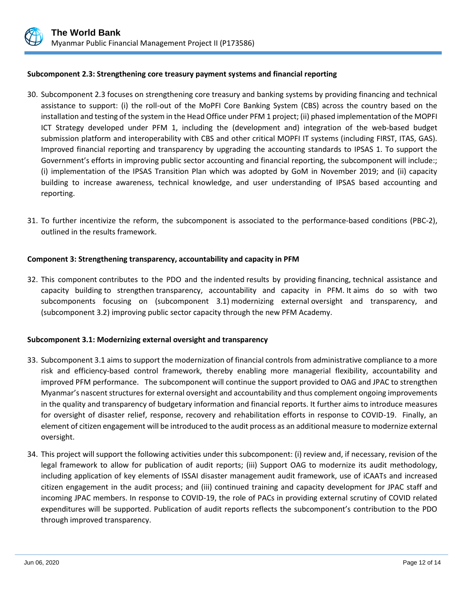

## **Subcomponent 2.3: Strengthening core treasury payment systems and financial reporting**

- 30. Subcomponent 2.3 focuses on strengthening core treasury and banking systems by providing financing and technical assistance to support: (i) the roll-out of the MoPFI Core Banking System (CBS) across the country based on the installation and testing of the system in the Head Office under PFM 1 project; (ii) phased implementation of the MOPFI ICT Strategy developed under PFM 1, including the (development and) integration of the web-based budget submission platform and interoperability with CBS and other critical MOPFI IT systems (including FIRST, ITAS, GAS). Improved financial reporting and transparency by upgrading the accounting standards to IPSAS 1. To support the Government's efforts in improving public sector accounting and financial reporting, the subcomponent will include:; (i) implementation of the IPSAS Transition Plan which was adopted by GoM in November 2019; and (ii) capacity building to increase awareness, technical knowledge, and user understanding of IPSAS based accounting and reporting.
- 31. To further incentivize the reform, the subcomponent is associated to the performance-based conditions (PBC-2), outlined in the results framework.

## **Component 3: Strengthening transparency, accountability and capacity in PFM**

32. This component contributes to the PDO and the indented results by providing financing, technical assistance and capacity building to strengthen transparency, accountability and capacity in PFM. It aims do so with two subcomponents focusing on (subcomponent 3.1) modernizing external oversight and transparency, and (subcomponent 3.2) improving public sector capacity through the new PFM Academy.

## **Subcomponent 3.1: Modernizing external oversight and transparency**

- 33. Subcomponent 3.1 aims to support the modernization of financial controls from administrative compliance to a more risk and efficiency-based control framework, thereby enabling more managerial flexibility, accountability and improved PFM performance. The subcomponent will continue the support provided to OAG and JPAC to strengthen Myanmar's nascent structures for external oversight and accountability and thus complement ongoing improvements in the quality and transparency of budgetary information and financial reports. It further aims to introduce measures for oversight of disaster relief, response, recovery and rehabilitation efforts in response to COVID-19. Finally, an element of citizen engagement will be introduced to the audit process as an additional measure to modernize external oversight.
- 34. This project will support the following activities under this subcomponent: (i) review and, if necessary, revision of the legal framework to allow for publication of audit reports; (iii) Support OAG to modernize its audit methodology, including application of key elements of ISSAI disaster management audit framework, use of iCAATs and increased citizen engagement in the audit process; and (iii) continued training and capacity development for JPAC staff and incoming JPAC members. In response to COVID-19, the role of PACs in providing external scrutiny of COVID related expenditures will be supported. Publication of audit reports reflects the subcomponent's contribution to the PDO through improved transparency.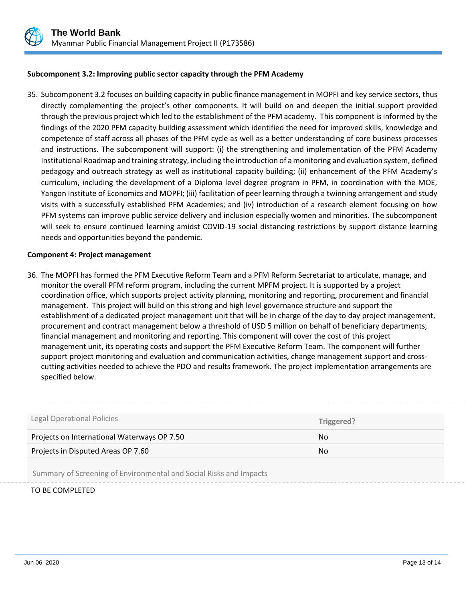

## **Subcomponent 3.2: Improving public sector capacity through the PFM Academy**

35. Subcomponent 3.2 focuses on building capacity in public finance management in MOPFI and key service sectors, thus directly complementing the project's other components. It will build on and deepen the initial support provided through the previous project which led to the establishment of the PFM academy. This component is informed by the findings of the 2020 PFM capacity building assessment which identified the need for improved skills, knowledge and competence of staff across all phases of the PFM cycle as well as a better understanding of core business processes and instructions. The subcomponent will support: (i) the strengthening and implementation of the PFM Academy Institutional Roadmap and training strategy, including the introduction of a monitoring and evaluation system, defined pedagogy and outreach strategy as well as institutional capacity building; (ii) enhancement of the PFM Academy's curriculum, including the development of a Diploma level degree program in PFM, in coordination with the MOE, Yangon Institute of Economics and MOPFI; (iii) facilitation of peer learning through a twinning arrangement and study visits with a successfully established PFM Academies; and (iv) introduction of a research element focusing on how PFM systems can improve public service delivery and inclusion especially women and minorities. The subcomponent will seek to ensure continued learning amidst COVID-19 social distancing restrictions by support distance learning needs and opportunities beyond the pandemic.

#### **Component 4: Project management**

36. The MOPFI has formed the PFM Executive Reform Team and a PFM Reform Secretariat to articulate, manage, and monitor the overall PFM reform program, including the current MPFM project. It is supported by a project coordination office, which supports project activity planning, monitoring and reporting, procurement and financial management. This project will build on this strong and high level governance structure and support the establishment of a dedicated project management unit that will be in charge of the day to day project management, procurement and contract management below a threshold of USD 5 million on behalf of beneficiary departments, financial management and monitoring and reporting. This component will cover the cost of this project management unit, its operating costs and support the PFM Executive Reform Team. The component will further support project monitoring and evaluation and communication activities, change management support and crosscutting activities needed to achieve the PDO and results framework. The project implementation arrangements are specified below.

| <b>Legal Operational Policies</b>           | Triggered? |
|---------------------------------------------|------------|
| Projects on International Waterways OP 7.50 | No.        |
| Projects in Disputed Areas OP 7.60          | No.        |
|                                             |            |

Summary of Screening of Environmental and Social Risks and Impacts

TO BE COMPLETED